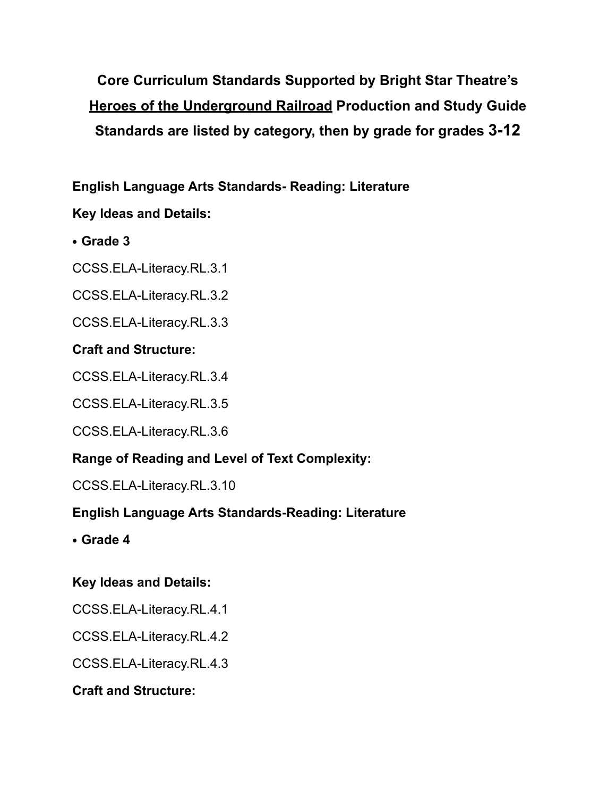**Core Curriculum Standards Supported by Bright Star Theatre's Heroes of the Underground Railroad Production and Study Guide Standards are listed by category, then by grade for grades 3-12**

**English Language Arts Standards- Reading: Literature**

# **Key Ideas and Details:**

- **• Grade 3**
- CCSS.ELA-Literacy.RL.3.1
- CCSS.ELA-Literacy.RL.3.2
- CCSS.ELA-Literacy.RL.3.3

# **Craft and Structure:**

- CCSS.ELA-Literacy.RL.3.4
- CCSS.ELA-Literacy.RL.3.5
- CCSS.ELA-Literacy.RL.3.6

# **Range of Reading and Level of Text Complexity:**

CCSS.ELA-Literacy.RL.3.10

# **English Language Arts Standards-Reading: Literature**

**• Grade 4**

# **Key Ideas and Details:**

- CCSS.ELA-Literacy.RL.4.1
- CCSS.ELA-Literacy.RL.4.2
- CCSS.ELA-Literacy.RL.4.3

# **Craft and Structure:**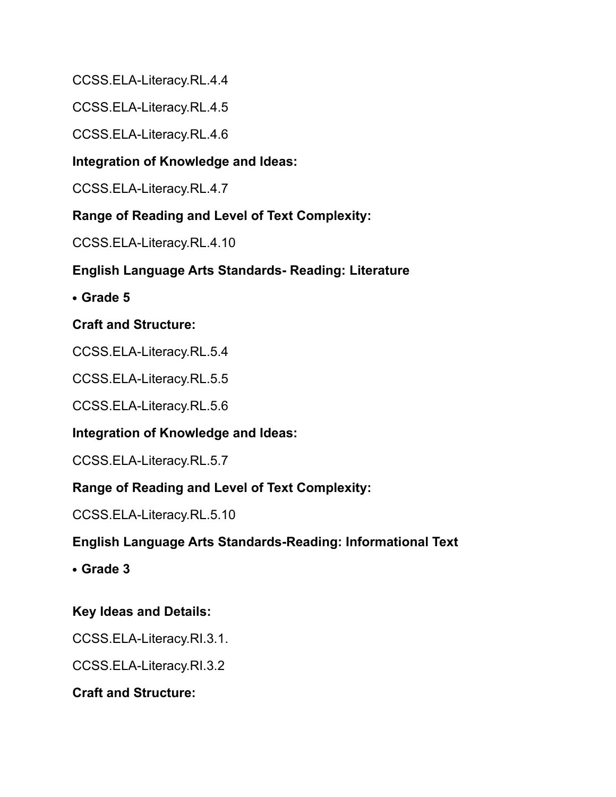CCSS.ELA-Literacy.RL.4.4

CCSS.ELA-Literacy.RL.4.5

CCSS.ELA-Literacy.RL.4.6

### **Integration of Knowledge and Ideas:**

CCSS.ELA-Literacy.RL.4.7

### **Range of Reading and Level of Text Complexity:**

CCSS.ELA-Literacy.RL.4.10

## **English Language Arts Standards- Reading: Literature**

**• Grade 5** 

### **Craft and Structure:**

CCSS.ELA-Literacy.RL.5.4

CCSS.ELA-Literacy.RL.5.5

CCSS.ELA-Literacy.RL.5.6

### **Integration of Knowledge and Ideas:**

CCSS.ELA-Literacy.RL.5.7

### **Range of Reading and Level of Text Complexity:**

CCSS.ELA-Literacy.RL.5.10

### **English Language Arts Standards-Reading: Informational Text**

**• Grade 3**

### **Key Ideas and Details:**

CCSS.ELA-Literacy.RI.3.1.

CCSS.ELA-Literacy.RI.3.2

#### **Craft and Structure:**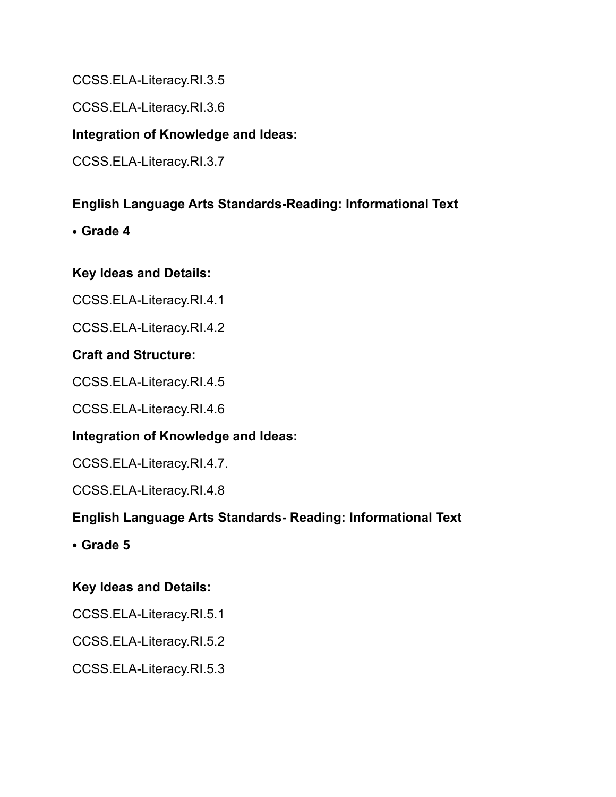CCSS.ELA-Literacy.RI.3.5

CCSS.ELA-Literacy.RI.3.6

### **Integration of Knowledge and Ideas:**

CCSS.ELA-Literacy.RI.3.7

### **English Language Arts Standards-Reading: Informational Text**

**• Grade 4**

### **Key Ideas and Details:**

CCSS.ELA-Literacy.RI.4.1

CCSS.ELA-Literacy.RI.4.2

### **Craft and Structure:**

CCSS.ELA-Literacy.RI.4.5

CCSS.ELA-Literacy.RI.4.6

### **Integration of Knowledge and Ideas:**

CCSS.ELA-Literacy.RI.4.7.

CCSS.ELA-Literacy.RI.4.8

### **English Language Arts Standards- Reading: Informational Text**

**• Grade 5**

### **Key Ideas and Details:**

CCSS.ELA-Literacy.RI.5.1

CCSS.ELA-Literacy.RI.5.2

CCSS.ELA-Literacy.RI.5.3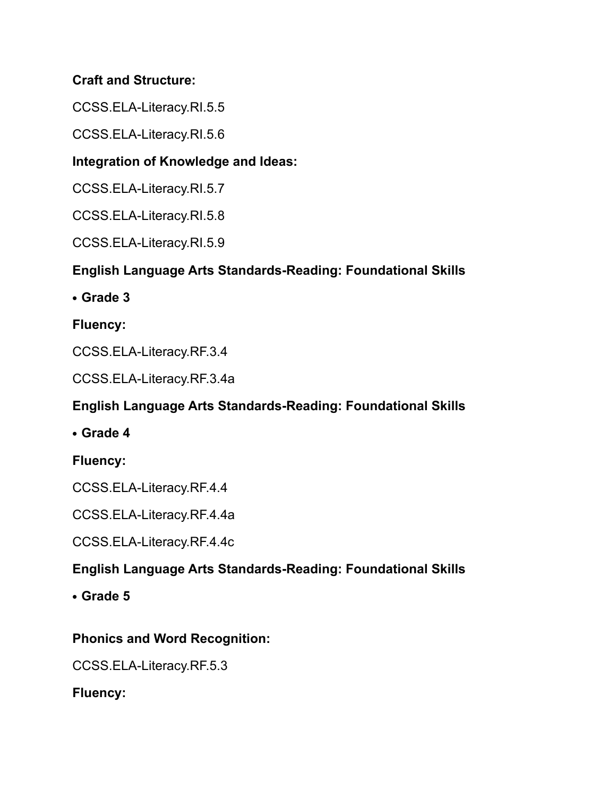## **Craft and Structure:**

CCSS.ELA-Literacy.RI.5.5

CCSS.ELA-Literacy.RI.5.6

# **Integration of Knowledge and Ideas:**

CCSS.ELA-Literacy.RI.5.7

CCSS.ELA-Literacy.RI.5.8

CCSS.ELA-Literacy.RI.5.9

# **English Language Arts Standards-Reading: Foundational Skills**

**• Grade 3** 

**Fluency:**

CCSS.ELA-Literacy.RF.3.4

CCSS.ELA-Literacy.RF.3.4a

# **English Language Arts Standards-Reading: Foundational Skills**

**• Grade 4** 

**Fluency:**

CCSS.ELA-Literacy.RF.4.4

CCSS.ELA-Literacy.RF.4.4a

CCSS.ELA-Literacy.RF.4.4c

# **English Language Arts Standards-Reading: Foundational Skills**

**• Grade 5**

# **Phonics and Word Recognition:**

CCSS.ELA-Literacy.RF.5.3

**Fluency:**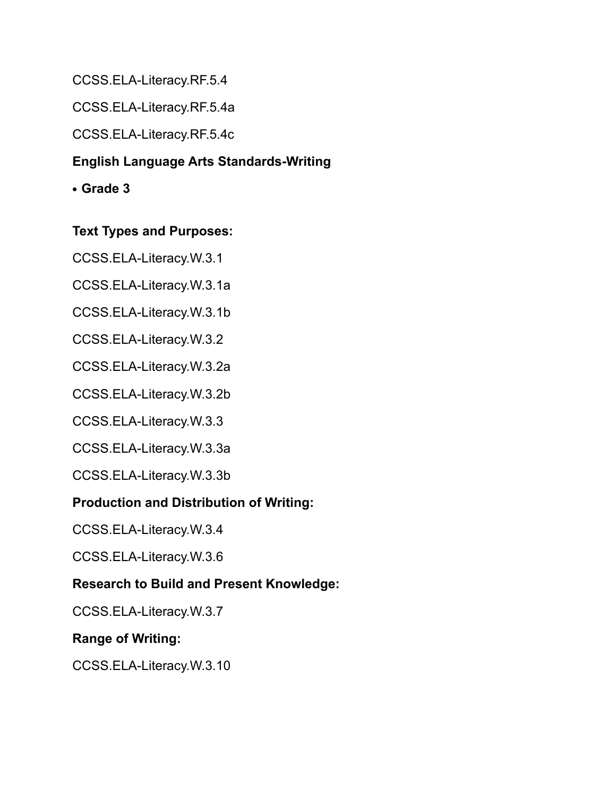CCSS.ELA-Literacy.RF.5.4

CCSS.ELA-Literacy.RF.5.4a

CCSS.ELA-Literacy.RF.5.4c

# **English Language Arts Standards-Writing**

**• Grade 3**

### **Text Types and Purposes:**

CCSS.ELA-Literacy.W.3.1

CCSS.ELA-Literacy.W.3.1a

CCSS.ELA-Literacy.W.3.1b

CCSS.ELA-Literacy.W.3.2

CCSS.ELA-Literacy.W.3.2a

CCSS.ELA-Literacy.W.3.2b

CCSS.ELA-Literacy.W.3.3

CCSS.ELA-Literacy.W.3.3a

CCSS.ELA-Literacy.W.3.3b

# **Production and Distribution of Writing:**

CCSS.ELA-Literacy.W.3.4

CCSS.ELA-Literacy.W.3.6

# **Research to Build and Present Knowledge:**

CCSS.ELA-Literacy.W.3.7

# **Range of Writing:**

CCSS.ELA-Literacy.W.3.10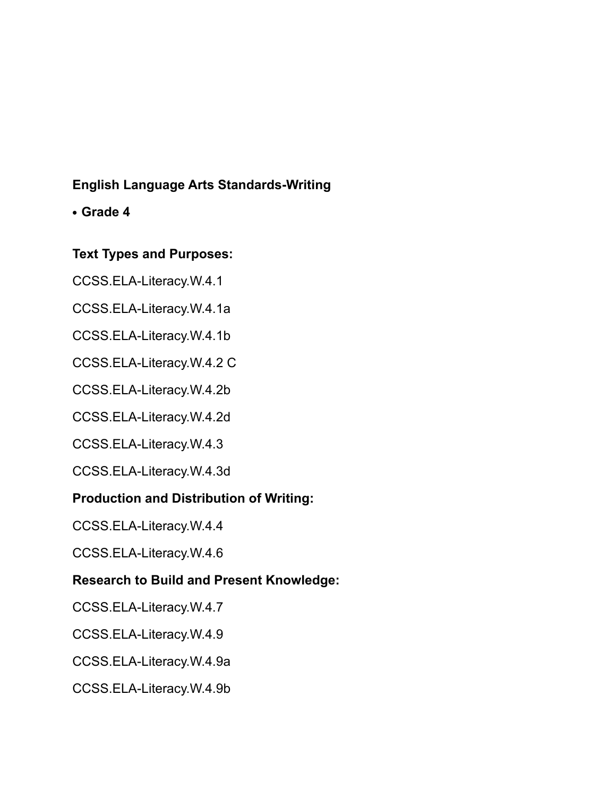## **English Language Arts Standards-Writing**

### **• Grade 4**

### **Text Types and Purposes:**

CCSS.ELA-Literacy.W.4.1

CCSS.ELA-Literacy.W.4.1a

CCSS.ELA-Literacy.W.4.1b

CCSS.ELA-Literacy.W.4.2 C

CCSS.ELA-Literacy.W.4.2b

CCSS.ELA-Literacy.W.4.2d

CCSS.ELA-Literacy.W.4.3

CCSS.ELA-Literacy.W.4.3d

#### **Production and Distribution of Writing:**

CCSS.ELA-Literacy.W.4.4

CCSS.ELA-Literacy.W.4.6

### **Research to Build and Present Knowledge:**

CCSS.ELA-Literacy.W.4.7

CCSS.ELA-Literacy.W.4.9

CCSS.ELA-Literacy.W.4.9a

CCSS.ELA-Literacy.W.4.9b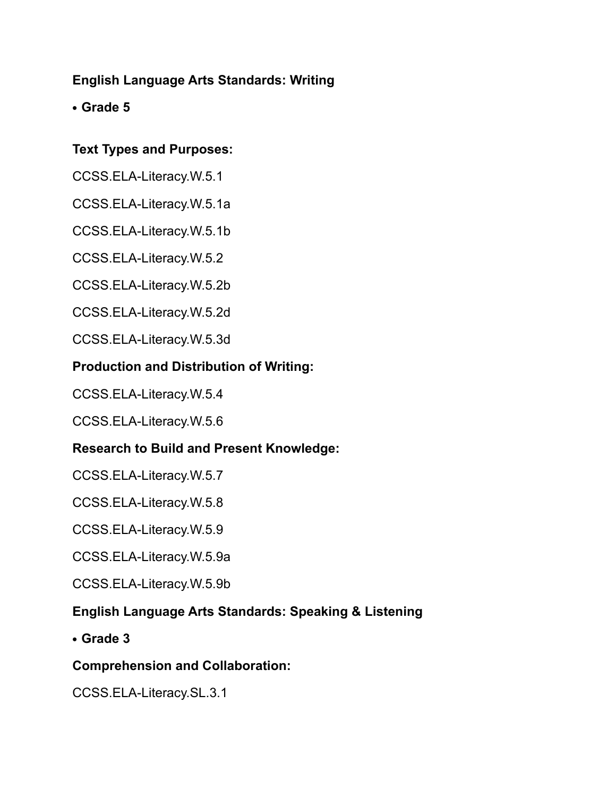## **English Language Arts Standards: Writing**

**• Grade 5**

## **Text Types and Purposes:**

CCSS.ELA-Literacy.W.5.1

CCSS.ELA-Literacy.W.5.1a

CCSS.ELA-Literacy.W.5.1b

CCSS.ELA-Literacy.W.5.2

CCSS.ELA-Literacy.W.5.2b

CCSS.ELA-Literacy.W.5.2d

CCSS.ELA-Literacy.W.5.3d

### **Production and Distribution of Writing:**

CCSS.ELA-Literacy.W.5.4

CCSS.ELA-Literacy.W.5.6

### **Research to Build and Present Knowledge:**

CCSS.ELA-Literacy.W.5.7

CCSS.ELA-Literacy.W.5.8

CCSS.ELA-Literacy.W.5.9

CCSS.ELA-Literacy.W.5.9a

CCSS.ELA-Literacy.W.5.9b

### **English Language Arts Standards: Speaking & Listening**

**• Grade 3**

#### **Comprehension and Collaboration:**

CCSS.ELA-Literacy.SL.3.1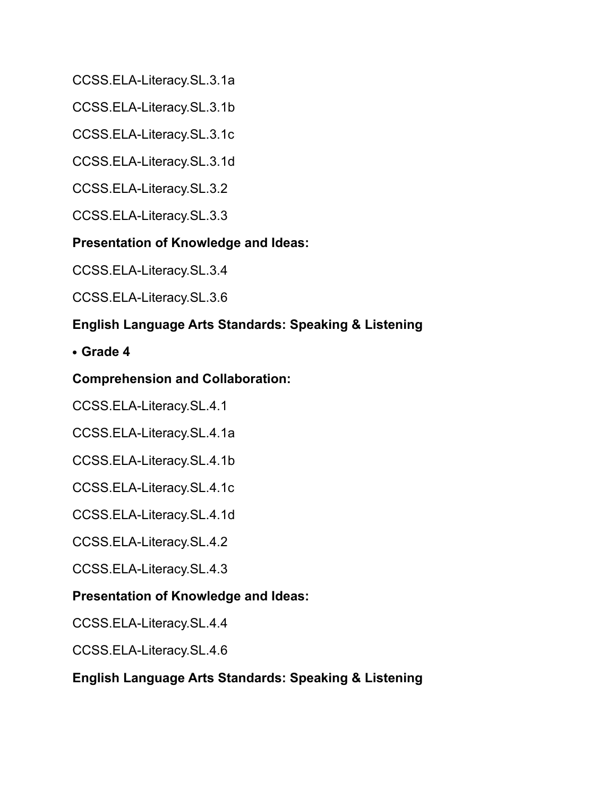CCSS.ELA-Literacy.SL.3.1a

CCSS.ELA-Literacy.SL.3.1b

CCSS.ELA-Literacy.SL.3.1c

CCSS.ELA-Literacy.SL.3.1d

CCSS.ELA-Literacy.SL.3.2

CCSS.ELA-Literacy.SL.3.3

### **Presentation of Knowledge and Ideas:**

CCSS.ELA-Literacy.SL.3.4

CCSS.ELA-Literacy.SL.3.6

## **English Language Arts Standards: Speaking & Listening**

**• Grade 4**

### **Comprehension and Collaboration:**

CCSS.ELA-Literacy.SL.4.1

CCSS.ELA-Literacy.SL.4.1a

CCSS.ELA-Literacy.SL.4.1b

CCSS.ELA-Literacy.SL.4.1c

CCSS.ELA-Literacy.SL.4.1d

CCSS.ELA-Literacy.SL.4.2

CCSS.ELA-Literacy.SL.4.3

### **Presentation of Knowledge and Ideas:**

CCSS.ELA-Literacy.SL.4.4

CCSS.ELA-Literacy.SL.4.6

#### **English Language Arts Standards: Speaking & Listening**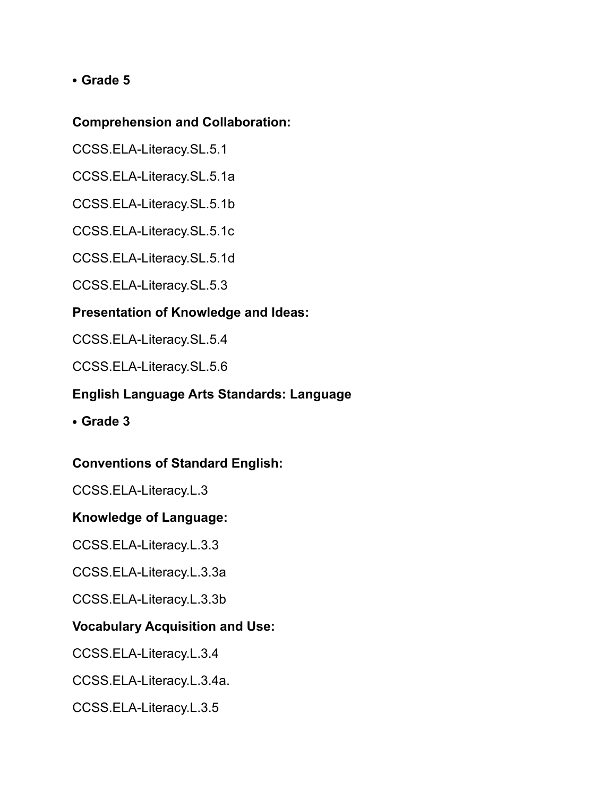### **• Grade 5**

#### **Comprehension and Collaboration:**

CCSS.ELA-Literacy.SL.5.1

CCSS.ELA-Literacy.SL.5.1a

CCSS.ELA-Literacy.SL.5.1b

CCSS.ELA-Literacy.SL.5.1c

CCSS.ELA-Literacy.SL.5.1d

CCSS.ELA-Literacy.SL.5.3

### **Presentation of Knowledge and Ideas:**

CCSS.ELA-Literacy.SL.5.4

CCSS.ELA-Literacy.SL.5.6

### **English Language Arts Standards: Language**

**• Grade 3**

### **Conventions of Standard English:**

CCSS.ELA-Literacy.L.3

#### **Knowledge of Language:**

CCSS.ELA-Literacy.L.3.3

CCSS.ELA-Literacy.L.3.3a

CCSS.ELA-Literacy.L.3.3b

#### **Vocabulary Acquisition and Use:**

CCSS.ELA-Literacy.L.3.4

CCSS.ELA-Literacy.L.3.4a.

CCSS.ELA-Literacy.L.3.5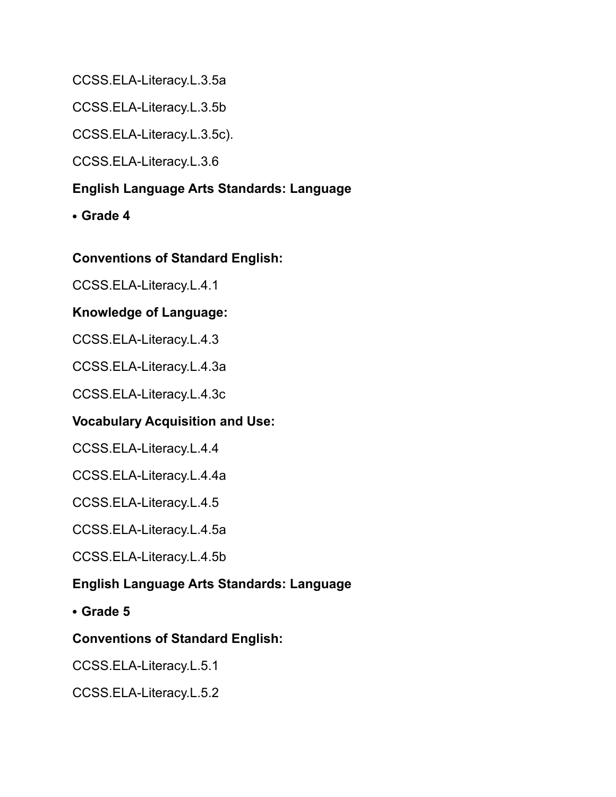CCSS.ELA-Literacy.L.3.5a

CCSS.ELA-Literacy.L.3.5b

CCSS.ELA-Literacy.L.3.5c).

CCSS.ELA-Literacy.L.3.6

### **English Language Arts Standards: Language**

**• Grade 4**

#### **Conventions of Standard English:**

CCSS.ELA-Literacy.L.4.1

#### **Knowledge of Language:**

CCSS.ELA-Literacy.L.4.3

CCSS.ELA-Literacy.L.4.3a

CCSS.ELA-Literacy.L.4.3c

### **Vocabulary Acquisition and Use:**

CCSS.ELA-Literacy.L.4.4

CCSS.ELA-Literacy.L.4.4a

CCSS.ELA-Literacy.L.4.5

CCSS.ELA-Literacy.L.4.5a

CCSS.ELA-Literacy.L.4.5b

### **English Language Arts Standards: Language**

**• Grade 5**

#### **Conventions of Standard English:**

CCSS.ELA-Literacy.L.5.1

CCSS.ELA-Literacy.L.5.2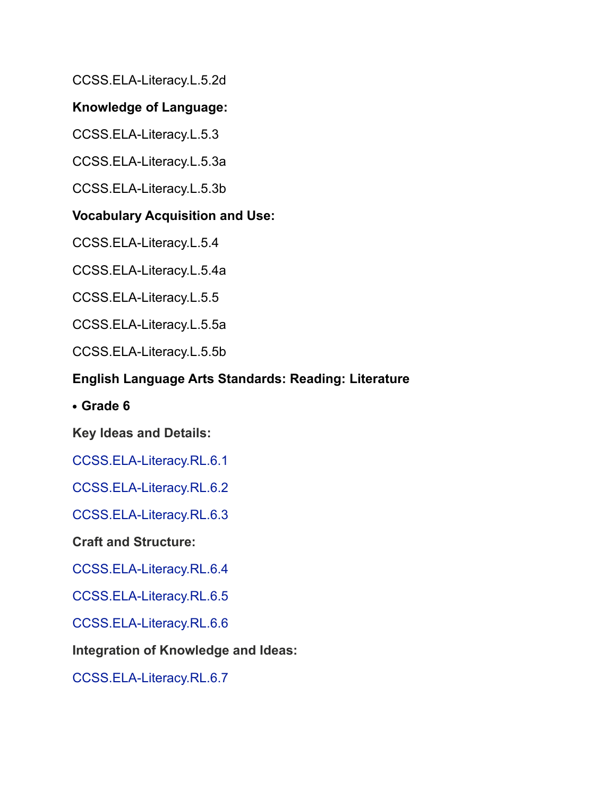CCSS.ELA-Literacy.L.5.2d

### **Knowledge of Language:**

CCSS.ELA-Literacy.L.5.3

CCSS.ELA-Literacy.L.5.3a

CCSS.ELA-Literacy.L.5.3b

### **Vocabulary Acquisition and Use:**

CCSS.ELA-Literacy.L.5.4

CCSS.ELA-Literacy.L.5.4a

CCSS.ELA-Literacy.L.5.5

CCSS.ELA-Literacy.L.5.5a

CCSS.ELA-Literacy.L.5.5b

### **English Language Arts Standards: Reading: Literature**

**• Grade 6**

**Key Ideas and Details:**

CCSS.ELA-Literacy.RL.6.1

CCSS.ELA-Literacy.RL.6.2

CCSS.ELA-Literacy.RL.6.3

**Craft and Structure:**

CCSS.ELA-Literacy.RL.6.4

CCSS.ELA-Literacy.RL.6.5

CCSS.ELA-Literacy.RL.6.6

**Integration of Knowledge and Ideas:**

CCSS.ELA-Literacy.RL.6.7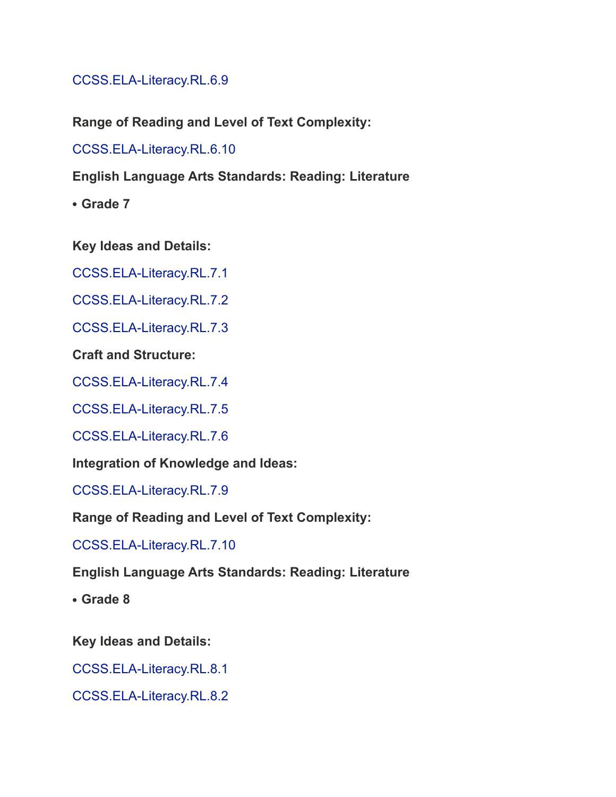CCSS.ELA-Literacy.RL.6.9

**Range of Reading and Level of Text Complexity:**

CCSS.ELA-Literacy.RL.6.10

**English Language Arts Standards: Reading: Literature**

**• Grade 7**

**Key Ideas and Details:**

CCSS.ELA-Literacy.RL.7.1

CCSS.ELA-Literacy.RL.7.2

CCSS.ELA-Literacy.RL.7.3

**Craft and Structure:**

CCSS.ELA-Literacy.RL.7.4

CCSS.ELA-Literacy.RL.7.5

CCSS.ELA-Literacy.RL.7.6

**Integration of Knowledge and Ideas:**

CCSS.ELA-Literacy.RL.7.9

**Range of Reading and Level of Text Complexity:**

CCSS.ELA-Literacy.RL.7.10

**English Language Arts Standards: Reading: Literature**

**• Grade 8**

**Key Ideas and Details:**

CCSS.ELA-Literacy.RL.8.1

CCSS.ELA-Literacy.RL.8.2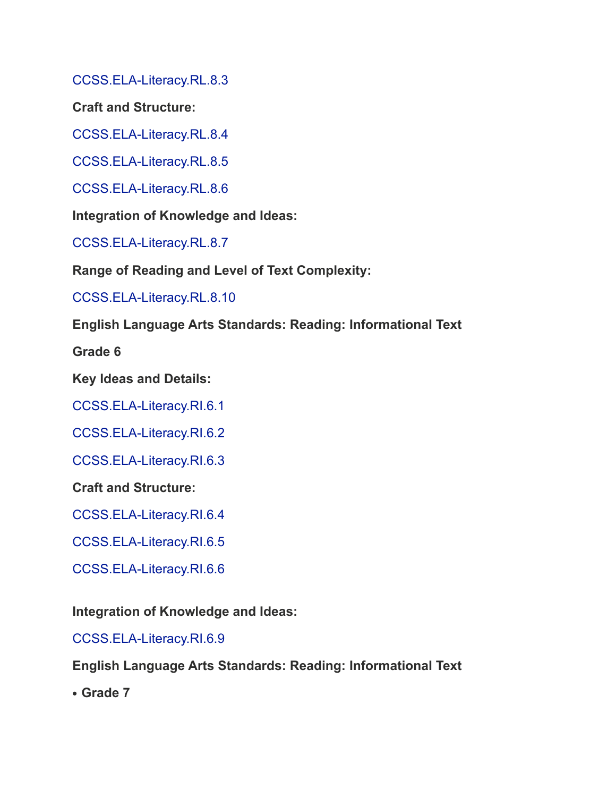CCSS.ELA-Literacy.RL.8.3

**Craft and Structure:**

CCSS.ELA-Literacy.RL.8.4

CCSS.ELA-Literacy.RL.8.5

CCSS.ELA-Literacy.RL.8.6

**Integration of Knowledge and Ideas:**

CCSS.ELA-Literacy.RL.8.7

**Range of Reading and Level of Text Complexity:**

CCSS.ELA-Literacy.RL.8.10

**English Language Arts Standards: Reading: Informational Text**

**Grade 6**

**Key Ideas and Details:**

CCSS.ELA-Literacy.RI.6.1

CCSS.ELA-Literacy.RI.6.2

CCSS.ELA-Literacy.RI.6.3

**Craft and Structure:**

CCSS.ELA-Literacy.RI.6.4

CCSS.ELA-Literacy.RI.6.5

CCSS.ELA-Literacy.RI.6.6

**Integration of Knowledge and Ideas:**

CCSS.ELA-Literacy.RI.6.9

**English Language Arts Standards: Reading: Informational Text**

**• Grade 7**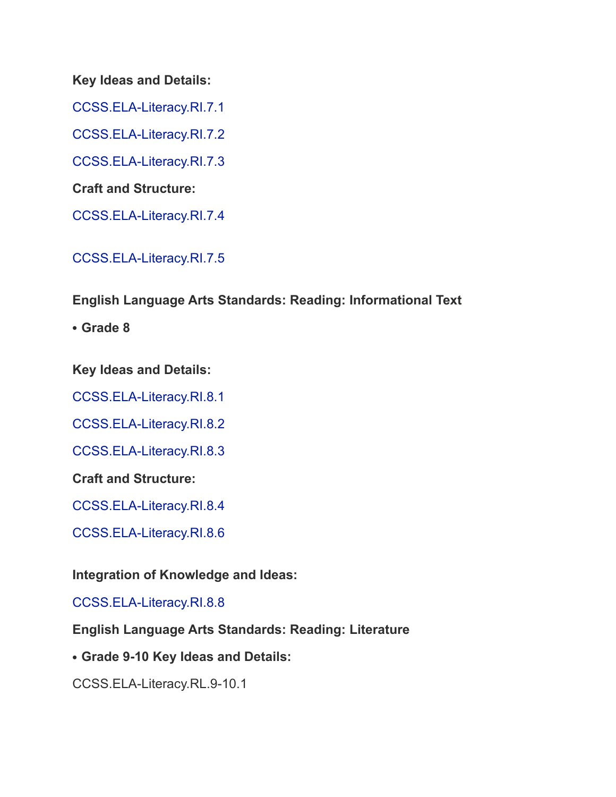#### **Key Ideas and Details:**

CCSS.ELA-Literacy.RI.7.1

CCSS.ELA-Literacy.RI.7.2

CCSS.ELA-Literacy.RI.7.3

**Craft and Structure:**

CCSS.ELA-Literacy.RI.7.4

CCSS.ELA-Literacy.RI.7.5

### **English Language Arts Standards: Reading: Informational Text**

**• Grade 8**

**Key Ideas and Details:**

CCSS.ELA-Literacy.RI.8.1

CCSS.ELA-Literacy.RI.8.2

CCSS.ELA-Literacy.RI.8.3

**Craft and Structure:**

CCSS.ELA-Literacy.RI.8.4

CCSS.ELA-Literacy.RI.8.6

**Integration of Knowledge and Ideas:**

CCSS.ELA-Literacy.RI.8.8

**English Language Arts Standards: Reading: Literature**

**• Grade 9-10 Key Ideas and Details:**

CCSS.ELA-Literacy.RL.9-10.1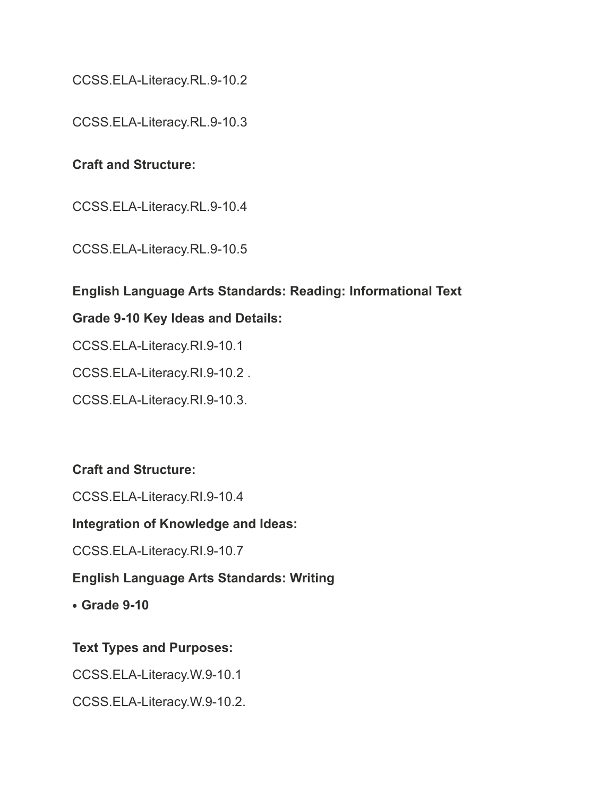CCSS.ELA-Literacy.RL.9-10.2

CCSS.ELA-Literacy.RL.9-10.3

### **Craft and Structure:**

CCSS.ELA-Literacy.RL.9-10.4

CCSS.ELA-Literacy.RL.9-10.5

#### **English Language Arts Standards: Reading: Informational Text**

#### **Grade 9-10 Key Ideas and Details:**

CCSS.ELA-Literacy.RI.9-10.1

CCSS.ELA-Literacy.RI.9-10.2 .

CCSS.ELA-Literacy.RI.9-10.3.

#### **Craft and Structure:**

CCSS.ELA-Literacy.RI.9-10.4

#### **Integration of Knowledge and Ideas:**

CCSS.ELA-Literacy.RI.9-10.7

#### **English Language Arts Standards: Writing**

**• Grade 9-10**

#### **Text Types and Purposes:**

CCSS.ELA-Literacy.W.9-10.1

CCSS.ELA-Literacy.W.9-10.2.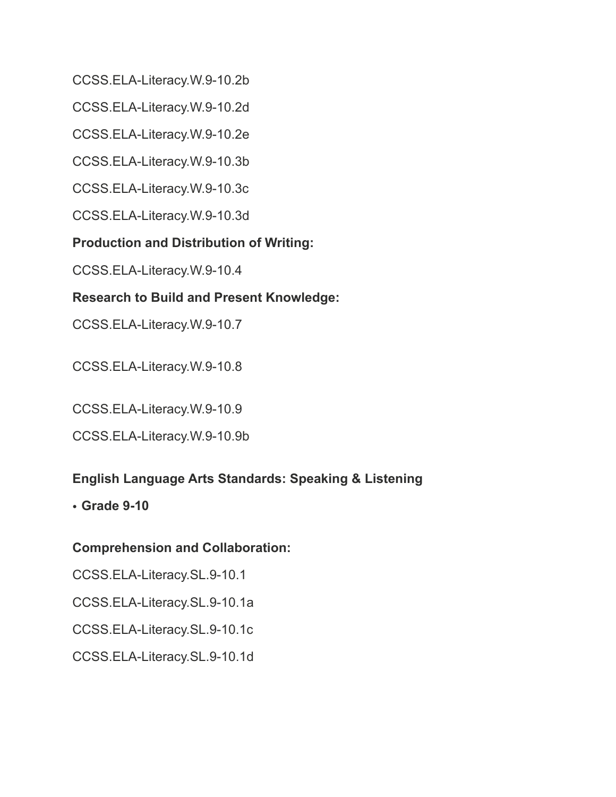CCSS.ELA-Literacy.W.9-10.2b

CCSS.ELA-Literacy.W.9-10.2d

CCSS.ELA-Literacy.W.9-10.2e

CCSS.ELA-Literacy.W.9-10.3b

CCSS.ELA-Literacy.W.9-10.3c

CCSS.ELA-Literacy.W.9-10.3d

# **Production and Distribution of Writing:**

CCSS.ELA-Literacy.W.9-10.4

# **Research to Build and Present Knowledge:**

CCSS.ELA-Literacy.W.9-10.7

CCSS.ELA-Literacy.W.9-10.8

CCSS.ELA-Literacy.W.9-10.9

CCSS.ELA-Literacy.W.9-10.9b

# **English Language Arts Standards: Speaking & Listening**

• **Grade 9-10**

# **Comprehension and Collaboration:**

CCSS.ELA-Literacy.SL.9-10.1

CCSS.ELA-Literacy.SL.9-10.1a

CCSS.ELA-Literacy.SL.9-10.1c

CCSS.ELA-Literacy.SL.9-10.1d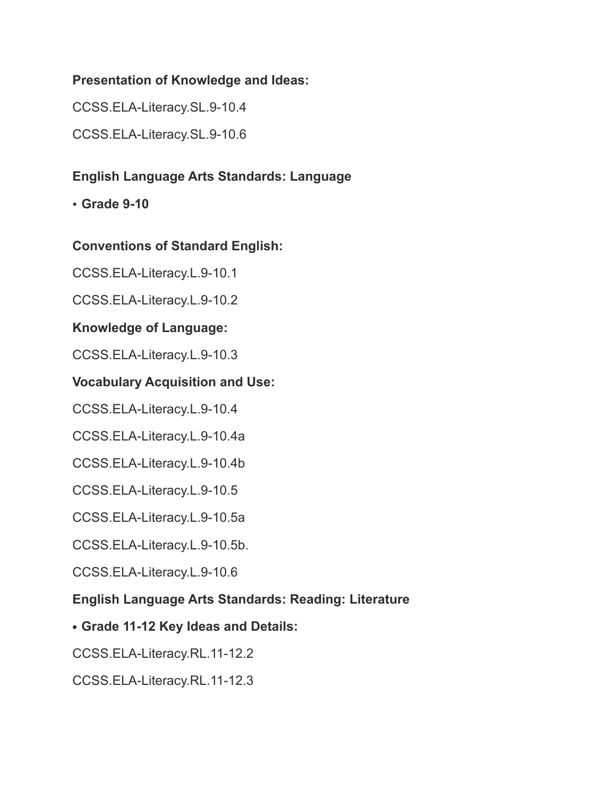### **Presentation of Knowledge and Ideas:**

CCSS.ELA-Literacy.SL.9-10.4

CCSS.ELA-Literacy.SL.9-10.6

## **English Language Arts Standards: Language**

• **Grade 9-10**

### **Conventions of Standard English:**

CCSS.ELA-Literacy.L.9-10.1

CCSS.ELA-Literacy.L.9-10.2

### **Knowledge of Language:**

CCSS.ELA-Literacy.L.9-10.3

### **Vocabulary Acquisition and Use:**

CCSS.ELA-Literacy.L.9-10.4

CCSS.ELA-Literacy.L.9-10.4a

CCSS.ELA-Literacy.L.9-10.4b

CCSS.ELA-Literacy.L.9-10.5

CCSS.ELA-Literacy.L.9-10.5a

CCSS.ELA-Literacy.L.9-10.5b.

CCSS.ELA-Literacy.L.9-10.6

### **English Language Arts Standards: Reading: Literature**

### **• Grade 11-12 Key Ideas and Details:**

CCSS.ELA-Literacy.RL.11-12.2

CCSS.ELA-Literacy.RL.11-12.3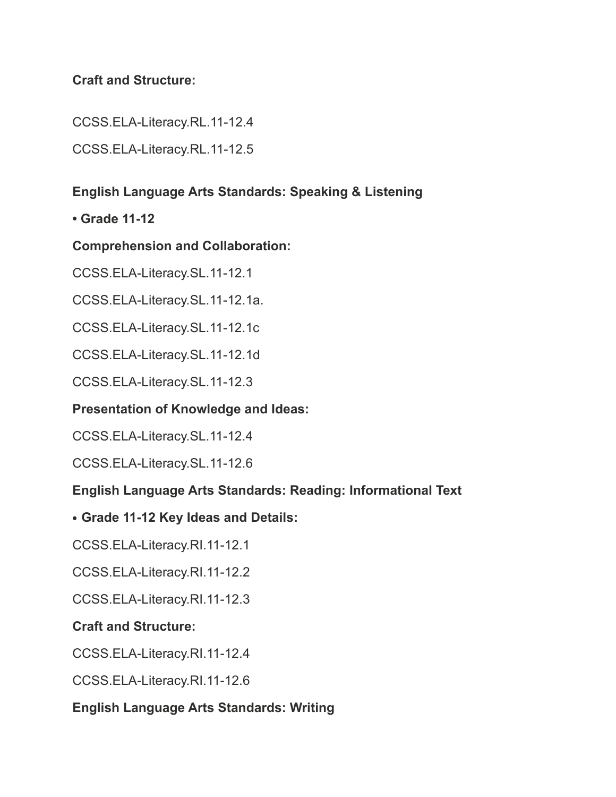### **Craft and Structure:**

CCSS.ELA-Literacy.RL.11-12.4

CCSS.ELA-Literacy.RL.11-12.5

## **English Language Arts Standards: Speaking & Listening**

**• Grade 11-12**

### **Comprehension and Collaboration:**

CCSS.ELA-Literacy.SL.11-12.1

CCSS.ELA-Literacy.SL.11-12.1a.

CCSS.ELA-Literacy.SL.11-12.1c

CCSS.ELA-Literacy.SL.11-12.1d

CCSS.ELA-Literacy.SL.11-12.3

### **Presentation of Knowledge and Ideas:**

CCSS.ELA-Literacy.SL.11-12.4

CCSS.ELA-Literacy.SL.11-12.6

### **English Language Arts Standards: Reading: Informational Text**

#### **• Grade 11-12 Key Ideas and Details:**

CCSS.ELA-Literacy.RI.11-12.1

CCSS.ELA-Literacy.RI.11-12.2

CCSS.ELA-Literacy.RI.11-12.3

### **Craft and Structure:**

CCSS.ELA-Literacy.RI.11-12.4

CCSS.ELA-Literacy.RI.11-12.6

### **English Language Arts Standards: Writing**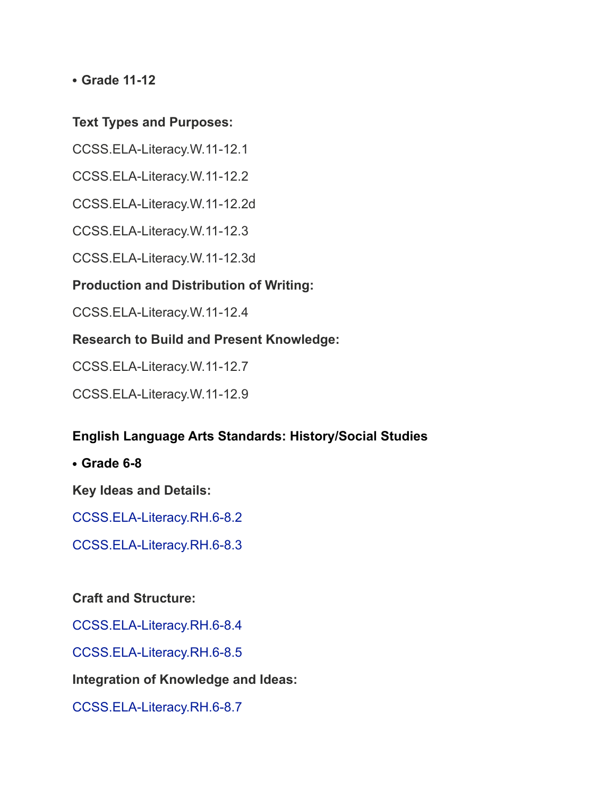**• Grade 11-12**

#### **Text Types and Purposes:**

CCSS.ELA-Literacy.W.11-12.1

CCSS.ELA-Literacy.W.11-12.2

CCSS.ELA-Literacy.W.11-12.2d

CCSS.ELA-Literacy.W.11-12.3

CCSS.ELA-Literacy.W.11-12.3d

### **Production and Distribution of Writing:**

CCSS.ELA-Literacy.W.11-12.4

### **Research to Build and Present Knowledge:**

CCSS.ELA-Literacy.W.11-12.7

CCSS.ELA-Literacy.W.11-12.9

### **English Language Arts Standards: History/Social Studies**

**• Grade 6-8**

**Key Ideas and Details:**

CCSS.ELA-Literacy.RH.6-8.2

CCSS.ELA-Literacy.RH.6-8.3

### **Craft and Structure:**

CCSS.ELA-Literacy.RH.6-8.4

CCSS.ELA-Literacy.RH.6-8.5

**Integration of Knowledge and Ideas:**

CCSS.ELA-Literacy.RH.6-8.7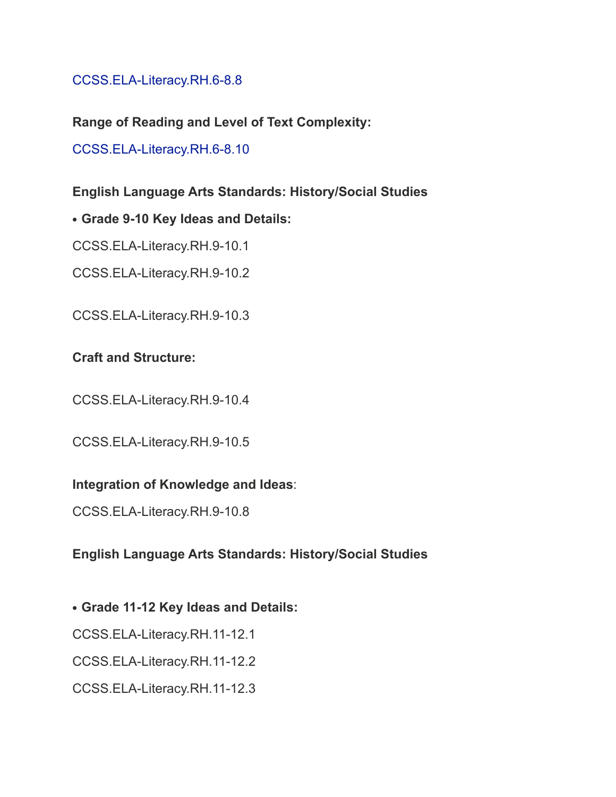### CCSS.ELA-Literacy.RH.6-8.8

**Range of Reading and Level of Text Complexity:**

CCSS.ELA-Literacy.RH.6-8.10

### **English Language Arts Standards: History/Social Studies**

**• Grade 9-10 Key Ideas and Details:**

CCSS.ELA-Literacy.RH.9-10.1

CCSS.ELA-Literacy.RH.9-10.2

CCSS.ELA-Literacy.RH.9-10.3

### **Craft and Structure:**

CCSS.ELA-Literacy.RH.9-10.4

CCSS.ELA-Literacy.RH.9-10.5

#### **Integration of Knowledge and Ideas**:

CCSS.ELA-Literacy.RH.9-10.8

### **English Language Arts Standards: History/Social Studies**

**• Grade 11-12 Key Ideas and Details:**

CCSS.ELA-Literacy.RH.11-12.1

CCSS.ELA-Literacy.RH.11-12.2

CCSS.ELA-Literacy.RH.11-12.3